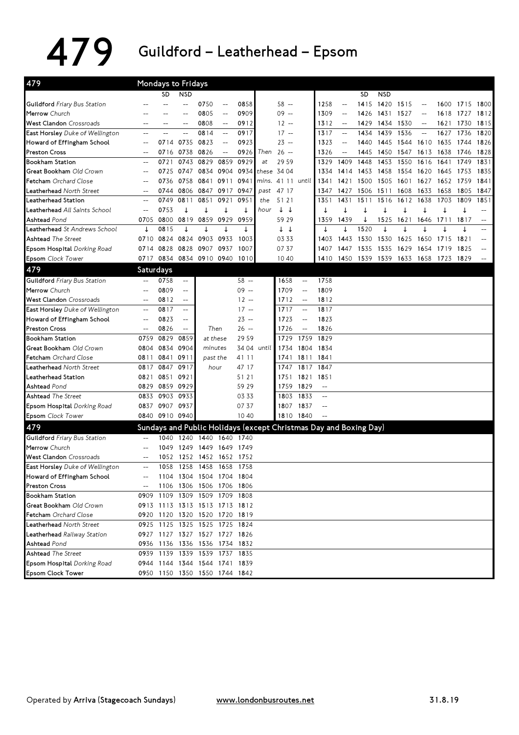| 479                                 | Mondays to Fridays                 |                |                                    |                               |                                    |        |       |                                                                   |                                                     |                |                                         |      |            |      |                |                |           |                          |
|-------------------------------------|------------------------------------|----------------|------------------------------------|-------------------------------|------------------------------------|--------|-------|-------------------------------------------------------------------|-----------------------------------------------------|----------------|-----------------------------------------|------|------------|------|----------------|----------------|-----------|--------------------------|
|                                     |                                    | SD             | <b>NSD</b>                         |                               |                                    |        |       |                                                                   |                                                     |                |                                         | SD   | <b>NSD</b> |      |                |                |           |                          |
| <b>Guildford</b> Friary Bus Station |                                    |                | $\overline{\phantom{a}}$           | 0750                          | $\overline{\phantom{a}}$           | 0858   |       | $58 -$                                                            |                                                     | 1258           | $\overline{a}$                          | 1415 | 1420       | 1515 | $\overline{a}$ |                | 1600 1715 | 1800                     |
| Merrow Church                       |                                    |                |                                    | 0805                          | $\overline{\phantom{a}}$           | 0909   |       | $09 -$                                                            |                                                     | 1309           |                                         | 1426 | 1431 1527  |      |                | 1618           | 1727      | 1812                     |
| <b>West Clandon</b> Crossroads      |                                    | --             |                                    | 0808                          |                                    | 0912   |       | $12 -$                                                            |                                                     | 1312           |                                         | 1429 | 1434       | 1530 | $\overline{a}$ | 1621           | 1730      | 1815                     |
| East Horsley Duke of Wellington     |                                    | $-$            |                                    | 0814                          | $\hspace{0.05cm} -\hspace{0.05cm}$ | 0917   |       | $17 -$                                                            |                                                     | 1317           | $\overline{a}$                          | 1434 | 1439       | 1536 | $\overline{a}$ | 1627           | 1736      | 1820                     |
| Howard of Effingham School          |                                    | 0714           | 0735                               | 0823                          | $-$                                | 0923   |       | $23 -$                                                            |                                                     | 1323           |                                         | 1440 | 1445       |      | 1544 1610      | 1635           | 1744      | 1826                     |
| <b>Preston Cross</b>                | $\overline{a}$                     | 0716           | 0738                               | 0826                          | $\overline{\phantom{a}}$           | 0926   | Then  | $26 -$                                                            |                                                     | 1326           | $-$                                     | 1445 | 1450       | 1547 | 1613           | 1638           | 1746      | 1828                     |
| <b>Bookham Station</b>              | $-$                                | 0721           |                                    | 0743 0829                     | 0859                               | 0929   | at    | 2959                                                              |                                                     | 1329           | 1409                                    | 1448 | 1453       | 1550 | 1616           | 1641           | 1749      | 1831                     |
| Great Bookham Old Crown             | $\overline{\phantom{a}}$           | 0725           | 0747 0834                          |                               | 0904                               | 0934   |       | these 34 04                                                       |                                                     | 1334           | 1414                                    | 1453 | 1458       | 1554 | 1620           | 1645           | 1753      | 1835                     |
| <b>Fetcham</b> Orchard Close        | $-$                                | 0736           | 0758 0841                          |                               | 0911                               | 0941   |       | mins. 41 11 until                                                 |                                                     | 1341           | 1421                                    | 1500 | 1505       | 1601 | 1627           | 1652           | 1759      | 1841                     |
| Leatherhead North Street            | --                                 | 0744           |                                    | 0806 0847                     | 0917                               | 0947   |       | past 47 17                                                        |                                                     | 1347           | 1427                                    | 1506 | 1511       | 1608 | 1633           | 1658           | 1805      | 1847                     |
| Leatherhead Station                 | $-$                                | 0749           | 0811                               | 0851                          | 0921                               | 0951   | the   | 5121                                                              |                                                     | 1351           | 1431                                    | 1511 | 1516       | 1612 | 1638           | 1703           | 1809      | 1851                     |
| Leatherhead All Saints School       | $\overline{a}$                     | 0753           | ↓                                  | ↓                             | ↓                                  | ↓      | hour  | $\downarrow \downarrow$                                           |                                                     |                | ↓                                       | ↓    | ↓          | ↓    | ↓              | ↓              | ↓         | $-$                      |
| Ashtead Pond                        | 0705                               |                | 0800 0819 0859                     |                               | 0929                               | 0959   |       | 59 29                                                             |                                                     | 1359           | 1439                                    | ↓    | 1525       | 1621 |                | 1646 1711 1817 |           | $- -$                    |
| Leatherhead St Andrews School       |                                    | 0815           | ↓                                  |                               |                                    | ↓      |       | $\downarrow \downarrow$                                           |                                                     |                |                                         | 1520 |            |      |                |                |           |                          |
| <b>Ashtead The Street</b>           | 0710                               | 0824           | 0824 0903                          |                               | 0933                               | 1003   |       | 03 33                                                             |                                                     | 1403           | 1443                                    | 1530 | 1530 1625  |      | 1650           | 1715           | 1821      | --                       |
| Epsom Hospital Dorking Road         | 0714                               | 0828           | 0828 0907                          |                               | 0937                               | 1007   |       | 07 37                                                             |                                                     | 1407           | 1447                                    | 1535 | 1535       | 1629 | 1654           | 1719           | 1825      |                          |
| Epsom Clock Tower                   |                                    |                |                                    | 0717 0834 0834 0910 0940 1010 |                                    |        |       | 1040                                                              |                                                     |                | 1410 1450 1539 1539 1633 1658 1723 1829 |      |            |      |                |                |           | $\overline{\phantom{m}}$ |
| 479                                 | Saturdays                          |                |                                    |                               |                                    |        |       |                                                                   |                                                     |                |                                         |      |            |      |                |                |           |                          |
| Guildford Friary Bus Station        | $-$                                | 0758           | $\sim$                             |                               |                                    | $58 -$ |       | 1658                                                              | $\overline{\phantom{a}}$                            | 1758           |                                         |      |            |      |                |                |           |                          |
| Merrow Church                       | $\overline{a}$                     | 0809           | $\sim$                             |                               |                                    | $09 -$ |       | 1709                                                              | $\sim$                                              | 1809           |                                         |      |            |      |                |                |           |                          |
| <b>West Clandon</b> Crossroads      | $\hspace{0.05cm}$                  | 0812           | $\hspace{0.05cm} -\hspace{0.05cm}$ |                               |                                    | $12 -$ |       | 1712                                                              | $\hspace{0.05cm} -\hspace{0.05cm} -\hspace{0.05cm}$ | 1812           |                                         |      |            |      |                |                |           |                          |
| East Horsley Duke of Wellington     | $\overline{\phantom{a}}$           | 0817           | $-$                                |                               |                                    | $17 -$ |       | 1717                                                              | $\mathbf{u}$                                        | 1817           |                                         |      |            |      |                |                |           |                          |
| Howard of Effingham School          | $\overline{\phantom{a}}$           | 0823           | $\overline{\phantom{a}}$           |                               |                                    | $23 -$ |       | 1723                                                              | $\hspace{0.05cm} -\hspace{0.05cm}$                  | 1823           |                                         |      |            |      |                |                |           |                          |
| <b>Preston Cross</b>                | $\hspace{0.05cm} -\hspace{0.05cm}$ | 0826           | $-\!$                              | Then                          |                                    | $26 -$ |       | 1726                                                              | $\hspace{0.05cm} -\hspace{0.05cm} -\hspace{0.05cm}$ | 1826           |                                         |      |            |      |                |                |           |                          |
| <b>Bookham Station</b>              | 0759                               | 0829           | 0859                               |                               | at these                           | 29 59  |       | 1729                                                              | 1759                                                | 1829           |                                         |      |            |      |                |                |           |                          |
| Great Bookham Old Crown             | 0804                               | 0834           | 0904                               | minutes                       |                                    | 34 04  | until | 1734                                                              | 1804                                                | 1834           |                                         |      |            |      |                |                |           |                          |
| <b>Fetcham</b> Orchard Close        |                                    | 0811 0841      | 0911                               | past the                      |                                    | 41 11  |       | 1741                                                              | 1811 1841                                           |                |                                         |      |            |      |                |                |           |                          |
| Leatherhead North Street            |                                    | 0817 0847      | 0917                               | hour                          |                                    | 47 17  |       | 1747                                                              | 1817                                                | 1847           |                                         |      |            |      |                |                |           |                          |
| Leatherhead Station                 | 0821                               | 0851           | 0921                               |                               |                                    | 5121   |       | 1751                                                              | 1821                                                | 1851           |                                         |      |            |      |                |                |           |                          |
| <b>Ashtead Pond</b>                 | 0829                               | 0859           | 0929                               |                               |                                    | 59 29  |       | 1759                                                              | 1829                                                | $\sim$ $\sim$  |                                         |      |            |      |                |                |           |                          |
| <b>Ashtead The Street</b>           | 0833                               | 0903           | 0933                               |                               |                                    | 03 33  |       | 1803                                                              | 1833                                                | $\overline{a}$ |                                         |      |            |      |                |                |           |                          |
| <b>Epsom Hospital Dorking Road</b>  | 0837                               | 0907           | 0937                               |                               |                                    | 07 37  |       | 1807 1837                                                         |                                                     |                |                                         |      |            |      |                |                |           |                          |
| Epsom Clock Tower                   |                                    | 0840 0910 0940 |                                    |                               |                                    | 1040   |       | 1810 1840                                                         |                                                     |                |                                         |      |            |      |                |                |           |                          |
| 479                                 |                                    |                |                                    |                               |                                    |        |       | Sundays and Public Holidays (except Christmas Day and Boxing Day) |                                                     |                |                                         |      |            |      |                |                |           |                          |
| Guildford Friary Bus Station        |                                    | 1040           |                                    | 1240 1440 1640 1740           |                                    |        |       |                                                                   |                                                     |                |                                         |      |            |      |                |                |           |                          |
| Merrow Church                       |                                    | 1049           | 1249 1449                          |                               | 1649 1749                          |        |       |                                                                   |                                                     |                |                                         |      |            |      |                |                |           |                          |
| <b>West Clandon</b> Crossroads      | $\overline{a}$                     |                |                                    | 1052 1252 1452 1652 1752      |                                    |        |       |                                                                   |                                                     |                |                                         |      |            |      |                |                |           |                          |
| East Horsley Duke of Wellington     |                                    |                |                                    | 1058 1258 1458 1658 1758      |                                    |        |       |                                                                   |                                                     |                |                                         |      |            |      |                |                |           |                          |
| Howard of Effingham School          |                                    |                |                                    | 1104 1304 1504 1704 1804      |                                    |        |       |                                                                   |                                                     |                |                                         |      |            |      |                |                |           |                          |
| <b>Preston Cross</b>                | $-\!$                              |                |                                    | 1106 1306 1506 1706 1806      |                                    |        |       |                                                                   |                                                     |                |                                         |      |            |      |                |                |           |                          |
| <b>Bookham Station</b>              |                                    |                |                                    | 0909 1109 1309 1509 1709 1808 |                                    |        |       |                                                                   |                                                     |                |                                         |      |            |      |                |                |           |                          |
| <b>Great Bookham</b> Old Crown      |                                    |                |                                    | 0913 1113 1313 1513 1713 1812 |                                    |        |       |                                                                   |                                                     |                |                                         |      |            |      |                |                |           |                          |
| <b>Fetcham</b> Orchard Close        |                                    |                |                                    | 0920 1120 1320 1520 1720 1819 |                                    |        |       |                                                                   |                                                     |                |                                         |      |            |      |                |                |           |                          |
| <b>Leatherhead</b> North Street     |                                    |                |                                    | 0925 1125 1325 1525 1725 1824 |                                    |        |       |                                                                   |                                                     |                |                                         |      |            |      |                |                |           |                          |
| <b>Leatherhead</b> Railway Station  |                                    |                |                                    | 0927 1127 1327 1527 1727 1826 |                                    |        |       |                                                                   |                                                     |                |                                         |      |            |      |                |                |           |                          |
| Ashtead Pond                        |                                    |                |                                    | 0936 1136 1336 1536 1734 1832 |                                    |        |       |                                                                   |                                                     |                |                                         |      |            |      |                |                |           |                          |
| Ashtead The Street                  |                                    |                |                                    | 0939 1139 1339 1539 1737 1835 |                                    |        |       |                                                                   |                                                     |                |                                         |      |            |      |                |                |           |                          |
| Epsom Hospital Dorking Road         |                                    |                |                                    | 0944 1144 1344 1544 1741 1839 |                                    |        |       |                                                                   |                                                     |                |                                         |      |            |      |                |                |           |                          |
| <b>Epsom Clock Tower</b>            |                                    |                |                                    | 0950 1150 1350 1550 1744 1842 |                                    |        |       |                                                                   |                                                     |                |                                         |      |            |      |                |                |           |                          |
|                                     |                                    |                |                                    |                               |                                    |        |       |                                                                   |                                                     |                |                                         |      |            |      |                |                |           |                          |